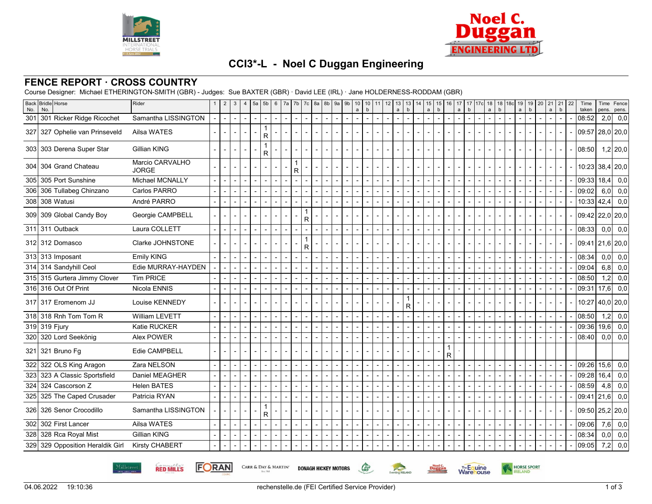



# **CCI3\*-L - Noel C Duggan Engineering**

### **FENCE REPORT · CROSS COUNTRY**

Course Designer: Michael ETHERINGTON-SMITH (GBR) - Judges: Sue BAXTER (GBR) · David LEE (IRL) · Jane HOLDERNESS-RODDAM (GBR)

| No. | Back Bridle Horse<br>No.         | Rider                           | $\overline{2}$ | $\mathbf{3}$ | $\overline{4}$ | 5a | 5 <sub>b</sub>           | 6                        | 7a     |              | 7b   7c           | 8a                       | 8b             | 9a                       | 9 <sub>b</sub> | 10<br>$\mathsf{a}$       | 10<br>$\mathsf b$ | $11$   12 | 13<br>$\mathsf{a}$ | 13<br>14<br>$\mathbf b$ | 15<br>$\mathsf{a}$ | 15<br>$\mathsf b$ | 16 | 17<br>$\mathsf{a}$ | 17<br>$\mathsf b$ | 17c | 18<br>$\mathsf a$ | 18<br>b | 18 <sub>c</sub><br>19<br>$\mathsf{a}$ | 19<br>$\mathsf b$ | 20 | $\mathsf{a}$             | 21 21<br>b | 22 | Time<br>taken   | Time<br>pens.    | Fence<br>pens.  |
|-----|----------------------------------|---------------------------------|----------------|--------------|----------------|----|--------------------------|--------------------------|--------|--------------|-------------------|--------------------------|----------------|--------------------------|----------------|--------------------------|-------------------|-----------|--------------------|-------------------------|--------------------|-------------------|----|--------------------|-------------------|-----|-------------------|---------|---------------------------------------|-------------------|----|--------------------------|------------|----|-----------------|------------------|-----------------|
|     | 301 301 Ricker Ridge Ricochet    | Samantha LISSINGTON             |                |              |                |    |                          |                          |        |              |                   |                          |                |                          |                |                          |                   |           |                    |                         |                    |                   |    |                    |                   |     |                   |         |                                       |                   |    |                          |            |    | 08:52           | 2,0              | 0,0             |
|     | 327 327 Ophelie van Prinseveld   | Ailsa WATES                     |                |              |                |    | R                        |                          |        |              |                   |                          |                |                          |                |                          |                   |           |                    |                         |                    |                   |    |                    |                   |     |                   |         |                                       |                   |    |                          |            |    | 09:57 28,0 20,0 |                  |                 |
|     | 303 303 Derena Super Star        | <b>Gillian KING</b>             | $\overline{a}$ |              |                |    | 1<br>R                   |                          |        |              |                   |                          |                |                          |                |                          |                   |           |                    |                         |                    |                   |    |                    |                   |     |                   |         |                                       |                   |    |                          |            |    | 08:50           |                  | $1,2$ 20,0      |
|     | 304 304 Grand Chateau            | Marcio CARVALHO<br><b>JORGE</b> |                |              |                |    |                          |                          |        | $\mathsf{R}$ |                   |                          |                |                          |                |                          |                   |           |                    |                         |                    |                   |    |                    |                   |     |                   |         |                                       |                   |    |                          |            |    | 10:23 38,4 20,0 |                  |                 |
|     | 305 305 Port Sunshine            | Michael MCNALLY                 |                |              |                |    |                          |                          |        |              |                   |                          |                |                          |                |                          |                   |           |                    |                         |                    |                   |    |                    |                   |     |                   |         |                                       |                   |    |                          |            |    | 09:33           | 18,4             | 0,0             |
|     | 306 306 Tullabeg Chinzano        | Carlos PARRO                    |                |              |                |    |                          |                          |        |              |                   |                          |                |                          |                |                          |                   |           |                    |                         |                    |                   |    |                    |                   |     |                   |         |                                       |                   |    |                          |            |    | 09:02           | 6.0              | 0,0             |
|     | 308 308 Watusi                   | André PARRO                     | $\sim$         |              | $\overline{a}$ |    | $\overline{a}$           |                          |        |              |                   |                          |                |                          | $\overline{a}$ |                          |                   |           |                    |                         |                    |                   |    |                    |                   |     |                   |         |                                       |                   |    |                          |            |    | $10:33$ 42,4    |                  | 0,0             |
|     | 309 309 Global Candy Boy         | Georgie CAMPBELL                |                |              |                |    |                          |                          |        |              | $\mathbf{1}$<br>R |                          |                |                          |                |                          |                   |           |                    |                         |                    |                   |    |                    |                   |     |                   |         |                                       |                   |    |                          |            |    | 09.42 22,0 20,0 |                  |                 |
|     | 311 311 Outback                  | Laura COLLETT                   |                |              |                |    |                          |                          |        |              |                   |                          |                |                          |                |                          |                   |           |                    |                         |                    |                   |    |                    |                   |     |                   |         |                                       |                   |    |                          |            |    | 08:33           |                  | $0,0$ 0,0       |
|     | 312 312 Domasco                  | Clarke JOHNSTONE                |                |              |                |    |                          |                          |        |              | $\mathbf{1}$<br>R |                          |                |                          |                |                          |                   |           |                    |                         |                    |                   |    |                    |                   |     |                   |         |                                       |                   |    |                          |            |    | 09:41           |                  | $21,6$  20,0    |
|     | 313 313 Imposant                 | <b>Emily KING</b>               |                |              |                |    |                          |                          |        |              |                   |                          |                |                          |                |                          |                   |           |                    |                         |                    |                   |    |                    |                   |     |                   |         |                                       |                   |    |                          |            |    | 08:34           | 0.0 <sub>l</sub> | 0,0             |
|     | 314 314 Sandyhill Ceol           | Edie MURRAY-HAYDEN              | $\overline{a}$ |              |                |    | $\overline{\phantom{a}}$ |                          |        |              |                   |                          |                |                          |                |                          |                   |           |                    |                         |                    |                   |    |                    |                   |     |                   |         |                                       |                   |    |                          |            |    | 09:04           | 6,8              | 0,0             |
|     | 315 315 Gurtera Jimmy Clover     | <b>Tim PRICE</b>                |                |              |                |    |                          |                          |        |              |                   |                          |                |                          |                |                          |                   |           |                    |                         |                    |                   |    |                    |                   |     |                   |         |                                       |                   |    |                          |            |    | 08:50           | 1,2              | 0,0             |
|     | 316 316 Out Of Print             | Nicola ENNIS                    |                |              |                |    |                          |                          |        |              |                   |                          |                |                          |                |                          |                   |           |                    |                         |                    |                   |    |                    |                   |     |                   |         |                                       |                   |    |                          |            |    | 09:31           | 17,6             | 0,0             |
|     | 317 317 Eromenom JJ              | Louise KENNEDY                  |                |              |                |    |                          |                          |        |              |                   |                          |                |                          |                |                          |                   |           |                    | R                       |                    |                   |    |                    |                   |     |                   |         |                                       |                   |    |                          |            |    |                 |                  | 10:27 40,0 20,0 |
|     | 318 318 Rnh Tom Tom R            | William LEVETT                  |                |              |                |    |                          |                          |        |              |                   |                          |                |                          |                |                          |                   |           |                    |                         |                    |                   |    |                    |                   |     |                   |         |                                       |                   |    |                          |            |    | 08:50           | 1,2              | 0,0             |
|     | 319 319 Fjury                    | Katie RUCKER                    | $\overline{a}$ |              |                |    | $\overline{a}$           |                          |        |              |                   |                          |                |                          |                |                          |                   |           |                    |                         |                    |                   |    |                    |                   |     |                   |         |                                       |                   |    |                          |            |    | 09:36           | 19,6             | 0,0             |
|     | 320 320 Lord Seekönig            | Alex POWER                      |                |              |                |    |                          |                          |        |              |                   |                          |                |                          |                |                          |                   |           |                    |                         |                    |                   |    |                    |                   |     |                   |         |                                       |                   |    |                          |            |    | 08:40           | 0.0 <sub>l</sub> | 0,0             |
|     | 321 321 Bruno Fg                 | Edie CAMPBELL                   |                |              |                |    |                          |                          |        |              |                   |                          |                |                          |                |                          |                   |           |                    |                         |                    |                   | R  |                    |                   |     |                   |         |                                       |                   |    |                          |            |    |                 |                  |                 |
|     | 322 322 OLS King Aragon          | Zara NELSON                     |                |              |                |    |                          |                          |        |              |                   |                          |                |                          |                |                          |                   |           |                    |                         |                    |                   |    |                    |                   |     |                   |         |                                       |                   |    |                          |            |    | 09:26           | 15,6             | 0,0             |
|     | 323 323 A Classic Sportsfield    | Daniel MEAGHER                  |                |              |                |    |                          |                          |        |              |                   |                          |                |                          |                |                          |                   |           |                    |                         |                    |                   |    |                    |                   |     |                   |         |                                       |                   |    |                          |            |    | 09:28           | 16,4             | 0,0             |
|     | 324 Cascorson Z                  | <b>Helen BATES</b>              |                |              |                |    |                          |                          |        |              |                   |                          |                |                          |                |                          |                   |           |                    |                         |                    |                   |    |                    |                   |     |                   |         |                                       |                   |    |                          |            |    | 08:59           | 4,8              | 0,0             |
|     | 325 325 The Caped Crusader       | Patricia RYAN                   |                |              |                |    |                          |                          |        |              |                   |                          |                |                          |                |                          |                   |           |                    |                         |                    |                   |    |                    |                   |     |                   |         |                                       |                   |    |                          |            |    | 09:41 21,6      |                  | 0,0             |
|     | 326 326 Senor Crocodillo         | Samantha LISSINGTON             |                |              |                |    | R                        |                          |        |              |                   |                          |                |                          |                |                          |                   |           |                    |                         |                    |                   |    |                    |                   |     |                   |         |                                       |                   |    |                          |            |    | 09:50 25,2 20,0 |                  |                 |
|     | 302 302 First Lancer             | Ailsa WATES                     |                |              |                |    |                          | $\overline{\phantom{a}}$ | $\sim$ |              | $\blacksquare$    | $\overline{\phantom{a}}$ | $\blacksquare$ | $\overline{\phantom{a}}$ | $\blacksquare$ | $\overline{\phantom{a}}$ | $\blacksquare$    |           |                    |                         |                    |                   |    |                    |                   |     |                   |         |                                       |                   |    |                          |            |    | 09:06           |                  | $7,6$ 0,0       |
|     | 328 328 Rca Royal Mist           | <b>Gillian KING</b>             |                |              |                |    | $\blacksquare$           |                          |        |              |                   |                          |                |                          |                |                          |                   |           |                    |                         |                    |                   |    |                    |                   |     |                   |         |                                       |                   |    | $\overline{\phantom{a}}$ |            |    | 08:34           | 0,0              | 0,0             |
|     | 329 329 Opposition Heraldik Girl | Kirsty CHABERT                  |                |              |                |    |                          |                          |        |              |                   |                          |                |                          |                |                          |                   |           |                    |                         |                    |                   |    |                    |                   |     |                   |         |                                       |                   |    |                          |            |    | 09:05           | 7,2              | 0,0             |

**RED MILLS** Millstreet

**FORAN** 

CARR & DAY & MARTIN' **DONAGH HICKEY MOTORS** 



 $\mathbb{G}$ 

Eventing **RELAND** 

HORSE SPORT

**Warehouse** 

Noel C.<br>Duggan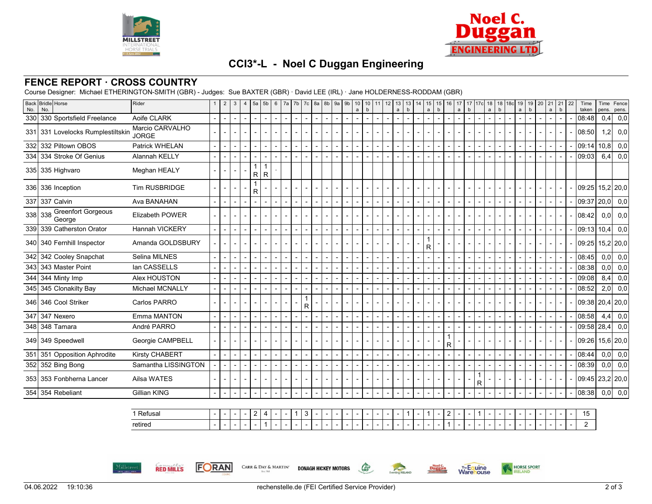



# **CCI3\*-L - Noel C Duggan Engineering**

### **FENCE REPORT · CROSS COUNTRY**

Course Designer: Michael ETHERINGTON-SMITH (GBR) - Judges: Sue BAXTER (GBR) · David LEE (IRL) · Jane HOLDERNESS-RODDAM (GBR)

|                | 330 330 Sportsfield Freelance<br>331 331 Lovelocks Rumplestiltskin<br>332 332 Piltown OBOS | Aoife CLARK<br>Marcio CARVALHO<br><b>JORGE</b> | $\blacksquare$           | $\blacksquare$ | $\mathbf{r}$                | $\blacksquare$          |                          |                |                |                |                |                |                                  |                |                |                          |                |                |                         |  |              |  |  |  |        |                       |                  |             |
|----------------|--------------------------------------------------------------------------------------------|------------------------------------------------|--------------------------|----------------|-----------------------------|-------------------------|--------------------------|----------------|----------------|----------------|----------------|----------------|----------------------------------|----------------|----------------|--------------------------|----------------|----------------|-------------------------|--|--------------|--|--|--|--------|-----------------------|------------------|-------------|
|                |                                                                                            |                                                |                          |                |                             |                         | $\blacksquare$           | $\sim$         | $\blacksquare$ | $\overline{a}$ | $\blacksquare$ | $\blacksquare$ | $\blacksquare$<br>$\blacksquare$ | $\blacksquare$ | $\blacksquare$ |                          | $\blacksquare$ |                |                         |  |              |  |  |  |        | 08:48                 | 0,4              | 0,0         |
|                |                                                                                            |                                                |                          |                |                             |                         |                          |                |                |                |                |                |                                  |                |                |                          |                |                |                         |  |              |  |  |  |        | 08:50                 | 1,2              | 0,0         |
|                |                                                                                            | Patrick WHELAN                                 | $\blacksquare$           | $\overline{a}$ | $\sim$                      |                         |                          |                |                |                | $\overline{a}$ | $\overline{a}$ | $\blacksquare$<br>$\blacksquare$ |                | $\blacksquare$ |                          | $\blacksquare$ |                |                         |  |              |  |  |  |        | 09:14                 | 10,8             | 0,0         |
|                | 334 334 Stroke Of Genius                                                                   | Alannah KELLY                                  | $\blacksquare$           |                | $\sim$                      |                         |                          |                |                |                |                |                |                                  |                |                | $\overline{\phantom{a}}$ |                |                |                         |  |              |  |  |  |        | 09:03                 | 6,4              | 0,0         |
|                | 335 335 Highvaro                                                                           | Meghan HEALY                                   |                          |                |                             | $\mathsf{R}$            | $\mathsf{R}$             |                |                |                |                |                |                                  |                |                |                          |                |                |                         |  |              |  |  |  |        |                       |                  |             |
|                | 336 336 Inception                                                                          | Tim RUSBRIDGE                                  |                          |                |                             | $\overline{\mathsf{R}}$ |                          |                |                |                |                |                |                                  |                |                |                          |                |                |                         |  |              |  |  |  |        | 09:25                 |                  | $15,2$ 20,0 |
| 337 337 Calvin |                                                                                            | Ava BANAHAN                                    | $\overline{\phantom{a}}$ |                | $\blacksquare$              |                         |                          |                |                |                |                |                |                                  |                |                | $\overline{\phantom{a}}$ |                |                |                         |  |              |  |  |  | $\sim$ | 09:37                 | 20,0             | 0,0         |
| 338 338        | <b>Greenfort Gorgeous</b><br>George                                                        | Elizabeth POWER                                |                          |                |                             |                         |                          |                |                |                |                |                |                                  |                |                |                          |                |                |                         |  |              |  |  |  |        | 08:42                 | 0,0              | 0,0         |
|                | 339 339 Catherston Orator                                                                  | Hannah VICKERY                                 | $\blacksquare$           |                | $\sim$                      |                         |                          |                |                |                | $\blacksquare$ | $\blacksquare$ | $\blacksquare$<br>$\blacksquare$ |                |                | $\blacksquare$           |                |                |                         |  |              |  |  |  |        | 09:13 10,4            |                  | 0,0         |
|                | 340 340 Fernhill Inspector                                                                 | Amanda GOLDSBURY                               |                          |                |                             |                         |                          |                |                |                |                |                |                                  |                |                |                          |                | R              |                         |  |              |  |  |  |        | $09:25$ 15,2 20,0     |                  |             |
|                | 342 Cooley Snapchat                                                                        | Selina MILNES                                  | $\overline{\phantom{0}}$ | $\overline{a}$ | $\sim$                      | $\overline{a}$          | $\sim$                   | $\overline{a}$ | $\overline{a}$ |                | $\blacksquare$ | $\overline{a}$ | $\blacksquare$                   |                | $\blacksquare$ |                          | $\blacksquare$ |                |                         |  |              |  |  |  |        | 08:45                 |                  | $0,0$ 0,0   |
|                | 343 343 Master Point                                                                       | lan CASSELLS                                   | $\blacksquare$           |                | $\mathbf{r}$                |                         | $\overline{\phantom{a}}$ |                |                |                |                |                |                                  |                |                |                          |                |                |                         |  |              |  |  |  |        | 08:38                 | 0.0 <sub>l</sub> | 0,0         |
|                | 344 344 Minty Imp                                                                          | Alex HOUSTON                                   |                          |                | $\sim$                      |                         |                          |                |                |                |                |                |                                  |                |                |                          |                |                |                         |  |              |  |  |  |        | 09:08                 | 8,4              | 0,0         |
|                | 345 345 Clonakilty Bay                                                                     | Michael MCNALLY                                | $\sim$                   | $\overline{a}$ | $\blacksquare$              |                         |                          |                |                |                |                |                |                                  |                |                |                          |                |                |                         |  |              |  |  |  |        | 08:52                 | 2,0              | 0,0         |
|                | 346 346 Cool Striker                                                                       | Carlos PARRO                                   |                          |                |                             |                         |                          |                | $\mathsf{R}$   |                |                |                |                                  |                |                |                          |                |                |                         |  |              |  |  |  |        | $09:38$   20,4   20,0 |                  |             |
| 347 347 Nexero |                                                                                            | Emma MANTON                                    | $\blacksquare$           |                | $\blacksquare$              |                         |                          |                | $\blacksquare$ |                |                |                |                                  |                |                |                          |                |                |                         |  |              |  |  |  |        | 08:58                 | 4,4              | 0,0         |
|                | 348 348 Tamara                                                                             | André PARRO                                    | $\blacksquare$           |                | $\blacksquare$              |                         |                          |                |                |                |                |                |                                  |                |                |                          |                |                |                         |  |              |  |  |  |        | 09:58                 | 28,4             | 0,0         |
|                | 349 349 Speedwell                                                                          | Georgie CAMPBELL                               |                          |                |                             |                         |                          |                |                |                |                |                |                                  |                |                |                          |                |                | $\overline{\mathsf{R}}$ |  |              |  |  |  |        | 09:26                 |                  | 15,6 20,0   |
| 351            | 351 Opposition Aphrodite                                                                   | Kirsty CHABERT                                 | $\overline{\phantom{0}}$ | $\overline{a}$ | $\blacksquare$              | $\overline{a}$          | $\sim$                   | $\overline{a}$ | $\overline{a}$ |                | $\blacksquare$ | $\blacksquare$ | $\blacksquare$                   |                | $\blacksquare$ |                          | $\blacksquare$ | $\overline{a}$ |                         |  |              |  |  |  |        | 08:44                 |                  | $0,0$ 0,0   |
|                | 352 352 Bing Bong                                                                          | Samantha LISSINGTON                            | $\blacksquare$           | $\sim$         | $\mathcal{L}_{\mathcal{A}}$ | $\overline{a}$          | $\sim$                   | $\overline{a}$ | $\overline{a}$ |                | $\overline{a}$ | $\overline{a}$ | $\overline{a}$                   |                |                |                          |                |                |                         |  |              |  |  |  |        | 08:39                 | 0,0              | 0,0         |
|                | 353 353 Fonbherna Lancer                                                                   | Ailsa WATES                                    |                          |                |                             |                         |                          |                |                |                |                |                |                                  |                |                |                          |                |                |                         |  | $\mathsf{R}$ |  |  |  |        | $09:45$ 23,2 20,0     |                  |             |
| 354            | 354 Rebeliant                                                                              | Gillian KING                                   | $\overline{\phantom{a}}$ |                | $\blacksquare$              |                         |                          |                |                |                |                |                |                                  |                |                |                          |                |                |                         |  |              |  |  |  |        | 08:38                 |                  | $0,0$ 0,0   |

| ՝ Refusal | . | $\overline{\phantom{a}}$ |  | - |  | - |  |  |  |  |  |  |  | - |  |  |  |  |  |  |  |
|-----------|---|--------------------------|--|---|--|---|--|--|--|--|--|--|--|---|--|--|--|--|--|--|--|
| retired   |   | $\overline{\phantom{0}}$ |  |   |  |   |  |  |  |  |  |  |  |   |  |  |  |  |  |  |  |

 $\mathbb{G}$ 



**FORAN** CARR & DAY & MARTIN' **DONAGH HICKEY MOTORS**